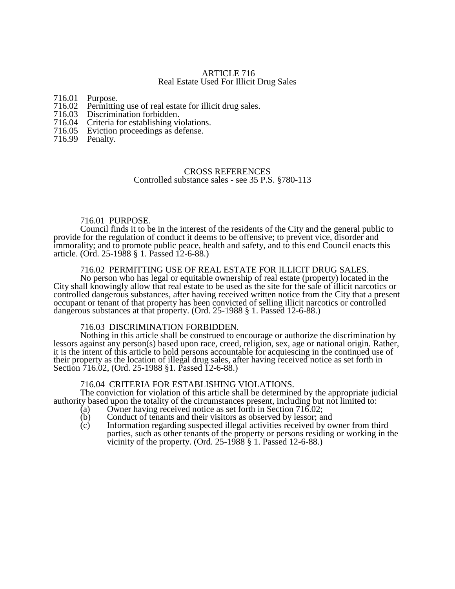### ARTICLE 716 Real Estate Used For Illicit Drug Sales

716.01 Purpose.

- 716.02 Permitting use of real estate for illicit drug sales.
- 716.03 Discrimination forbidden.
- 716.04 Criteria for establishing violations.<br>716.05 Eviction proceedings as defense.
- Eviction proceedings as defense.
- 716.99 Penalty.

# CROSS REFERENCES

Controlled substance sales - see 35 P.S. §780-113

### 716.01 PURPOSE.

Council finds it to be in the interest of the residents of the City and the general public to provide for the regulation of conduct it deems to be offensive; to prevent vice, disorder and immorality; and to promote public peace, health and safety, and to this end Council enacts this article. (Ord. 25-1988 § 1. Passed 12-6-88.)

#### 716.02 PERMITTING USE OF REAL ESTATE FOR ILLICIT DRUG SALES.

No person who has legal or equitable ownership of real estate (property) located in the City shall knowingly allow that real estate to be used as the site for the sale of illicit narcotics or controlled dangerous substances, after having received written notice from the City that a present occupant or tenant of that property has been convicted of selling illicit narcotics or controlled dangerous substances at that property. (Ord. 25-1988 § 1. Passed 12-6-88.)

# 716.03 DISCRIMINATION FORBIDDEN.

Nothing in this article shall be construed to encourage or authorize the discrimination by lessors against any person(s) based upon race, creed, religion, sex, age or national origin. Rather, it is the intent of this article to hold persons accountable for acquiescing in the continued use of their property as the location of illegal drug sales, after having received notice as set forth in Section 716.02, (Ord. 25-1988 §1. Passed 12-6-88.)

#### 716.04 CRITERIA FOR ESTABLISHING VIOLATIONS.

The conviction for violation of this article shall be determined by the appropriate judicial authority based upon the totality of the circumstances present, including but not limited to:

- (a) Owner having received notice as set forth in Section 716.02;<br>(b) Conduct of tenants and their visitors as observed by lessor; and
- $\overrightarrow{b}$  Conduct of tenants and their visitors as observed by lessor; and  $\overrightarrow{c}$  Information regarding suspected illegal activities received by ov
- Information regarding suspected illegal activities received by owner from third parties, such as other tenants of the property or persons residing or working in the vicinity of the property. (Ord. 25-1988 § 1. Passed 12-6-88.)